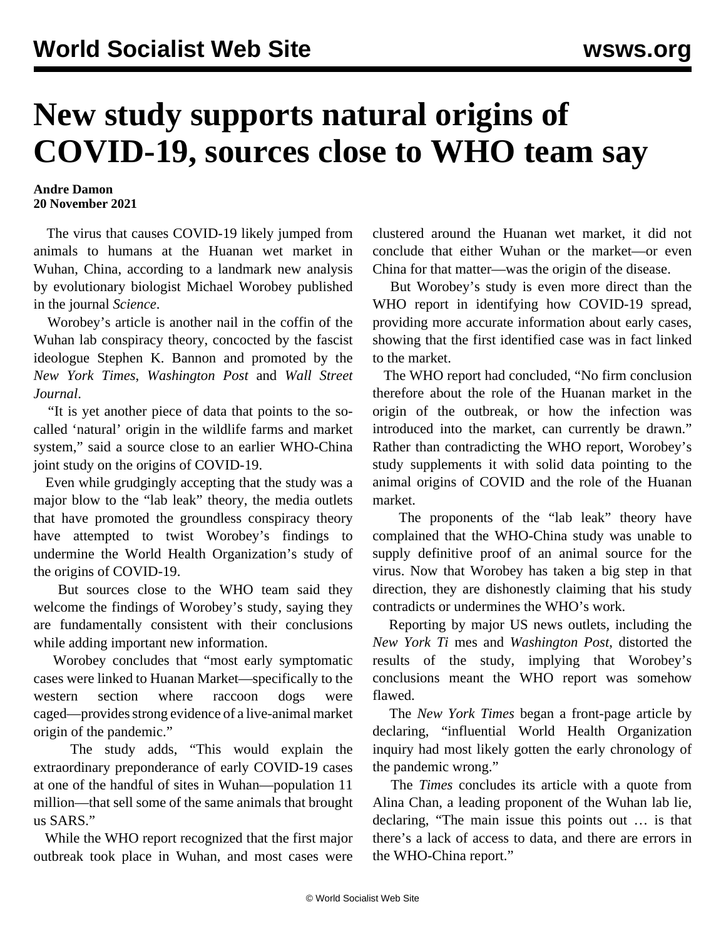## **New study supports natural origins of COVID-19, sources close to WHO team say**

## **Andre Damon 20 November 2021**

 The virus that causes COVID-19 likely jumped from animals to humans at the Huanan wet market in Wuhan, China, according to a landmark new [analysis](https://www.science.org/doi/10.1126/science.abm4454) by evolutionary biologist Michael Worobey published in the journal *Science*.

 Worobey's article is another nail in the coffin of the Wuhan lab conspiracy theory, concocted by the fascist ideologue Stephen K. Bannon and promoted by the *New York Times*, *Washington Post* and *Wall Street Journal*.

 "It is yet another piece of data that points to the socalled 'natural' origin in the wildlife farms and market system," said a source close to an earlier WHO-China joint study on the origins of COVID-19.

 Even while grudgingly accepting that the study was a major blow to the "lab leak" theory, the media outlets that have promoted the groundless conspiracy theory have attempted to twist Worobey's findings to undermine the World Health Organization's study of the origins of COVID-19.

 But sources close to the WHO team said they welcome the findings of Worobey's study, saying they are fundamentally consistent with their conclusions while adding important new information.

 Worobey concludes that "most early symptomatic cases were linked to Huanan Market—specifically to the western section where raccoon dogs were caged—provides strong evidence of a live-animal market origin of the pandemic."

 The study adds, "This would explain the extraordinary preponderance of early COVID-19 cases at one of the handful of sites in Wuhan—population 11 million—that sell some of the same animals that brought us SARS."

 While the WHO report recognized that the first major outbreak took place in Wuhan, and most cases were clustered around the Huanan wet market, it did not conclude that either Wuhan or the market—or even China for that matter—was the origin of the disease.

 But Worobey's study is even more direct than the WHO report in identifying how COVID-19 spread, providing more accurate information about early cases, showing that the first identified case was in fact linked to the market.

 The WHO report had concluded, "No firm conclusion therefore about the role of the Huanan market in the origin of the outbreak, or how the infection was introduced into the market, can currently be drawn." Rather than contradicting the WHO report, Worobey's study supplements it with solid data pointing to the animal origins of COVID and the role of the Huanan market.

 The proponents of the "lab leak" theory have complained that the WHO-China study was unable to supply definitive proof of an animal source for the virus. Now that Worobey has taken a big step in that direction, they are dishonestly claiming that his study contradicts or undermines the WHO's work.

 Reporting by major US news outlets, including the *New York Ti* mes and *Washington Post*, distorted the results of the study, implying that Worobey's conclusions meant the WHO report was somehow flawed.

 The *New York Times* began a front-page article by declaring, "influential World Health Organization inquiry had most likely gotten the early chronology of the pandemic wrong."

 The *Times* concludes its article with a quote from Alina Chan, a leading proponent of the Wuhan lab lie, declaring, "The main issue this points out … is that there's a lack of access to data, and there are errors in the WHO-China report."